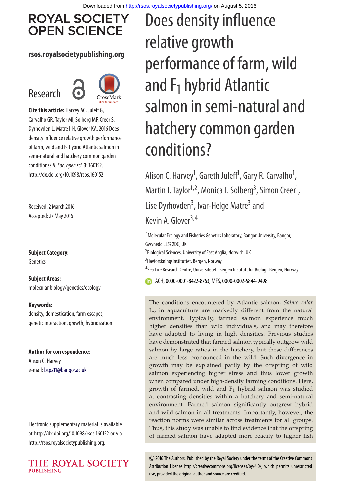# **ROYAL SOCIETY OPEN SCIENCE**

#### **rsos.royalsocietypublishing.org**

# Research



**Cite this article:** Harvey AC, Juleff G, Carvalho GR, Taylor MI, Solberg MF, Creer S, Dyrhovden L, Matre I-H, Glover KA. 2016 Does density influence relative growth performance of farm, wild and  $F_1$  hybrid Atlantic salmon in semi-natural and hatchery common garden conditions?R. Soc. open sci.**3**: 160152. http://dx.doi.org/10.1098/rsos.160152

Received: 2 March 2016 Accepted: 27 May 2016

**Subject Category:** Genetics

**Subject Areas:** molecular biology/genetics/ecology

#### **Keywords:**

density, domestication, farm escapes, genetic interaction, growth, hybridization

#### **Author for correspondence:**

Alison C. Harvey e-mail:[bsp211@bangor.ac.uk](mailto:bsp211@bangor.ac.uk)

Electronic supplementary material is available at http://dx.doi.org/10.1098/rsos.160152 or via http://rsos.royalsocietypublishing.org.



# Does density influence relative growth performance of farm, wild and  $F_1$  hybrid Atlantic salmon in semi-natural and hatchery common garden conditions?

Alison C. Harvey<sup>1</sup>, Gareth Juleff<sup>1</sup>, Gary R. Carvalho<sup>1</sup> , Martin I. Taylor<sup>1,2</sup>, Monica F. Solberg<sup>3</sup>, Simon Creer<sup>1</sup> , Lise Dyrhovden<sup>3</sup>, Ivar-Helge Matre<sup>3</sup> and Kevin A. Glover<sup>3,4</sup>

<sup>1</sup>Molecular Ecology and Fisheries Genetics Laboratory, Bangor University, Bangor, Gwynedd LL57 2DG, UK

<sup>2</sup> Biological Sciences, University of East Anglia, Norwich, UK

<sup>3</sup> Havforskningsinstituttet, Bergen, Norway

<sup>4</sup>Sea Lice Research Centre, Universitetet i Bergen Institutt for Biologi, Bergen, Norway

ACH,[0000-0001-8422-8763;](http://orcid.org/0000-0001-8422-8763) MFS,[0000-0002-5844-9498](http://orcid.org/0000-0002-5844-9498)

The conditions encountered by Atlantic salmon, *Salmo salar* L., in aquaculture are markedly different from the natural environment. Typically, farmed salmon experience much higher densities than wild individuals, and may therefore have adapted to living in high densities. Previous studies have demonstrated that farmed salmon typically outgrow wild salmon by large ratios in the hatchery, but these differences are much less pronounced in the wild. Such divergence in growth may be explained partly by the offspring of wild salmon experiencing higher stress and thus lower growth when compared under high-density farming conditions. Here, growth of farmed, wild and  $F_1$  hybrid salmon was studied at contrasting densities within a hatchery and semi-natural environment. Farmed salmon significantly outgrew hybrid and wild salmon in all treatments. Importantly, however, the reaction norms were similar across treatments for all groups. Thus, this study was unable to find evidence that the offspring of farmed salmon have adapted more readily to higher fish

2016 The Authors. Published by the Royal Society under the terms of the Creative Commons Attribution License http://creativecommons.org/licenses/by/4.0/, which permits unrestricted use, provided the original author and source are credited.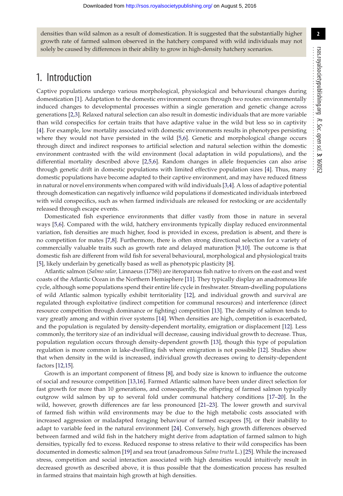densities than wild salmon as a result of domestication. It is suggested that the substantially higher growth rate of farmed salmon observed in the hatchery compared with wild individuals may not solely be caused by differences in their ability to grow in high-density hatchery scenarios.

## 1. Introduction

Captive populations undergo various morphological, physiological and behavioural changes during domestication [\[1\]](#page-13-0). Adaptation to the domestic environment occurs through two routes: environmentally induced changes to developmental processes within a single generation and genetic change across generations [\[2,](#page-13-1)[3\]](#page-13-2). Relaxed natural selection can also result in domestic individuals that are more variable than wild conspecifics for certain traits that have adaptive value in the wild but less so in captivity [\[4\]](#page-13-3). For example, low mortality associated with domestic environments results in phenotypes persisting where they would not have persisted in the wild [\[5,](#page-13-4)[6\]](#page-13-5). Genetic and morphological change occurs through direct and indirect responses to artificial selection and natural selection within the domestic environment contrasted with the wild environment (local adaptation in wild populations), and the differential mortality described above [\[2](#page-13-1)[,5,](#page-13-4)[6\]](#page-13-5). Random changes in allele frequencies can also arise through genetic drift in domestic populations with limited effective population sizes [\[4\]](#page-13-3). Thus, many domestic populations have become adapted to their captive environment, and may have reduced fitness in natural or novel environments when compared with wild individuals [\[3](#page-13-2)[,4\]](#page-13-3). A loss of adaptive potential through domestication can negatively influence wild populations if domesticated individuals interbreed with wild conspecifics, such as when farmed individuals are released for restocking or are accidentally released through escape events.

Domesticated fish experience environments that differ vastly from those in nature in several ways [\[5](#page-13-4)[,6\]](#page-13-5). Compared with the wild, hatchery environments typically display reduced environmental variation, fish densities are much higher, food is provided in excess, predation is absent, and there is no competition for mates [\[7](#page-13-6)[,8\]](#page-13-7). Furthermore, there is often strong directional selection for a variety of commercially valuable traits such as growth rate and delayed maturation [\[9](#page-13-8)[,10\]](#page-13-9). The outcome is that domestic fish are different from wild fish for several behavioural, morphological and physiological traits [\[5\]](#page-13-4), likely underlain by genetically based as well as phenotypic plasticity [\[8\]](#page-13-7).

Atlantic salmon (*Salmo salar,* Linnaeus (1758)) are iteroparous fish native to rivers on the east and west coasts of the Atlantic Ocean in the Northern Hemisphere [\[11\]](#page-14-0). They typically display an anadromous life cycle, although some populations spend their entire life cycle in freshwater. Stream-dwelling populations of wild Atlantic salmon typically exhibit territoriality [\[12\]](#page-14-1), and individual growth and survival are regulated through exploitative (indirect competition for communal resources) and interference (direct resource competition through dominance or fighting) competition [\[13\]](#page-14-2). The density of salmon tends to vary greatly among and within river systems [\[14\]](#page-14-3). When densities are high, competition is exacerbated, and the population is regulated by density-dependent mortality, emigration or displacement [\[12\]](#page-14-1). Less commonly, the territory size of an individual will decrease, causing individual growth to decrease. Thus, population regulation occurs through density-dependent growth [\[13\]](#page-14-2), though this type of population regulation is more common in lake-dwelling fish where emigration is not possible [\[12\]](#page-14-1). Studies show that when density in the wild is increased, individual growth decreases owing to density-dependent factors [\[12,](#page-14-1)[15\]](#page-14-4).

Growth is an important component of fitness [\[8\]](#page-13-7), and body size is known to influence the outcome of social and resource competition [\[13,](#page-14-2)[16\]](#page-14-5). Farmed Atlantic salmon have been under direct selection for fast growth for more than 10 generations, and consequently, the offspring of farmed salmon typically outgrow wild salmon by up to several fold under communal hatchery conditions [\[17](#page-14-6)[–20\]](#page-14-7). In the wild, however, growth differences are far less pronounced [\[21](#page-14-8)[–23\]](#page-14-9). The lower growth and survival of farmed fish within wild environments may be due to the high metabolic costs associated with increased aggression or maladapted foraging behaviour of farmed escapees [\[5\]](#page-13-4), or their inability to adapt to variable feed in the natural environment [\[24\]](#page-14-10). Conversely, high growth differences observed between farmed and wild fish in the hatchery might derive from adaptation of farmed salmon to high densities, typically fed to excess. Reduced response to stress relative to their wild conspecifics has been documented in domestic salmon [\[19\]](#page-14-11) and sea trout (anadromous *Salmo trutta* L.) [\[25\]](#page-14-12). While the increased stress, competition and social interaction associated with high densities would intuitively result in decreased growth as described above, it is thus possible that the domestication process has resulted in farmed strains that maintain high growth at high densities.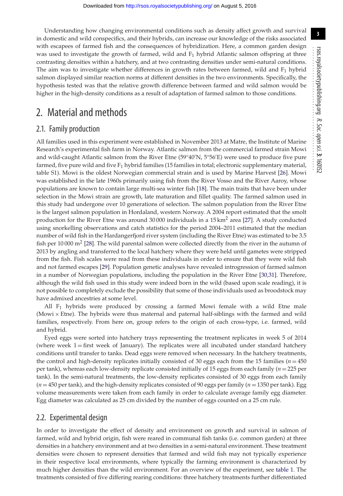Understanding how changing environmental conditions such as density affect growth and survival in domestic and wild conspecifics, and their hybrids, can increase our knowledge of the risks associated with escapees of farmed fish and the consequences of hybridization. Here, a common garden design was used to investigate the growth of farmed, wild and  $F_1$  hybrid Atlantic salmon offspring at three contrasting densities within a hatchery, and at two contrasting densities under semi-natural conditions. The aim was to investigate whether differences in growth rates between farmed, wild and  $F_1$  hybrid salmon displayed similar reaction norms at different densities in the two environments. Specifically, the hypothesis tested was that the relative growth difference between farmed and wild salmon would be higher in the high-density conditions as a result of adaptation of farmed salmon to those conditions.

## 2. Material and methods

#### 2.1. Family production

All families used in this experiment were established in November 2013 at Matre, the Institute of Marine Research's experimental fish farm in Norway. Atlantic salmon from the commercial farmed strain Mowi and wild-caught Atlantic salmon from the River Etne (59°40′N, 5°56′E) were used to produce five pure farmed, five pure wild and five  $F_1$  hybrid families (15 families in total; electronic supplementary material, table S1). Mowi is the oldest Norwegian commercial strain and is used by Marine Harvest [\[26\]](#page-14-13). Mowi was established in the late 1960s primarily using fish from the River Vosso and the River Aaroy, whose populations are known to contain large multi-sea winter fish [\[18\]](#page-14-14). The main traits that have been under selection in the Mowi strain are growth, late maturation and fillet quality. The farmed salmon used in this study had undergone over 10 generations of selection. The salmon population from the River Etne is the largest salmon population in Hordaland, western Norway. A 2004 report estimated that the smolt production for the River Etne was around 30 000 individuals in a  $15 \text{ km}^2$  area [\[27\]](#page-14-15). A study conducted using snorkelling observations and catch statistics for the period 2004–2011 estimated that the median number of wild fish in the Hardangerfjord river system (including the River Etne) was estimated to be 3.5 fish per 10 000  $m<sup>2</sup>$  [\[28\]](#page-14-16). The wild parental salmon were collected directly from the river in the autumn of 2013 by angling and transferred to the local hatchery where they were held until gametes were stripped from the fish. Fish scales were read from these individuals in order to ensure that they were wild fish and not farmed escapes [\[29\]](#page-14-17). Population genetic analyses have revealed introgression of farmed salmon in a number of Norwegian populations, including the population in the River Etne [\[30,](#page-14-18)[31\]](#page-14-19). Therefore, although the wild fish used in this study were indeed born in the wild (based upon scale reading), it is not possible to completely exclude the possibility that some of those individuals used as broodstock may have admixed ancestries at some level.

All  $F_1$  hybrids were produced by crossing a farmed Mowi female with a wild Etne male (Mowi × Etne). The hybrids were thus maternal and paternal half-siblings with the farmed and wild families, respectively. From here on, group refers to the origin of each cross-type, i.e. farmed, wild and hybrid.

Eyed eggs were sorted into hatchery trays representing the treatment replicates in week 5 of 2014 (where week  $1 =$  first week of January). The replicates were all incubated under standard hatchery conditions until transfer to tanks. Dead eggs were removed when necessary. In the hatchery treatments, the control and high-density replicates initially consisted of 30 eggs each from the 15 families ( $n = 450$ ) per tank), whereas each low-density replicate consisted initially of 15 eggs from each family (*n* = 225 per tank). In the semi-natural treatments, the low-density replicates consisted of 30 eggs from each family  $(n = 450 \text{ per tank})$ , and the high-density replicates consisted of 90 eggs per family  $(n = 1350 \text{ per tank})$ . Egg volume measurements were taken from each family in order to calculate average family egg diameter. Egg diameter was calculated as 25 cm divided by the number of eggs counted on a 25 cm rule.

#### 2.2. Experimental design

In order to investigate the effect of density and environment on growth and survival in salmon of farmed, wild and hybrid origin, fish were reared in communal fish tanks (i.e. common garden) at three densities in a hatchery environment and at two densities in a semi-natural environment. These treatment densities were chosen to represent densities that farmed and wild fish may not typically experience in their respective local environments, where typically the farming environment is characterized by much higher densities than the wild environment. For an overview of the experiment, see [table 1.](#page-3-0) The treatments consisted of five differing rearing conditions: three hatchery treatments further differentiated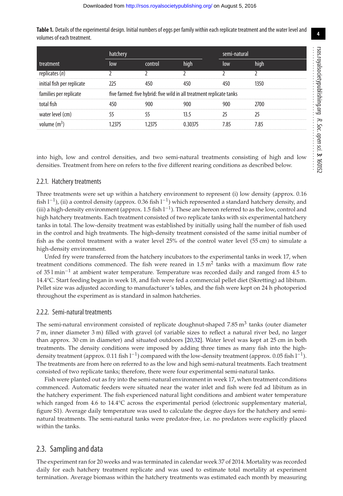<span id="page-3-0"></span>**Table 1.** Details of the experimental design. Initial numbers of eggs per family within each replicate treatment and the water level and volumes of each treatment.

|                            | hatchery                                                             |         |      |      | semi-natural |  |  |
|----------------------------|----------------------------------------------------------------------|---------|------|------|--------------|--|--|
| treatment                  | low                                                                  | control | high | low  | high         |  |  |
| replicates $(n)$           |                                                                      |         |      |      |              |  |  |
| initial fish per replicate |                                                                      |         |      |      | 1350         |  |  |
| families per replicate     | five farmed: five hybrid: five wild in all treatment replicate tanks |         |      |      |              |  |  |
| total fish                 |                                                                      |         | 900  | 900  | 2700         |  |  |
| water level (cm)           |                                                                      |         |      |      |              |  |  |
| volume $(m^3)$             |                                                                      |         |      | 7 85 | 7.85         |  |  |

into high, low and control densities, and two semi-natural treatments consisting of high and low densities. Treatment from here on refers to the five different rearing conditions as described below.

#### 2.2.1. Hatchery treatments

Three treatments were set up within a hatchery environment to represent (i) low density (approx. 0.16 fish  $l^{-1}$ ), (ii) a control density (approx. 0.36 fish  $l^{-1}$ ) which represented a standard hatchery density, and (iii) a high-density environment (approx. 1.5 fish  $l^{-1}$ ). These are hereon referred to as the low, control and high hatchery treatments. Each treatment consisted of two replicate tanks with six experimental hatchery tanks in total. The low-density treatment was established by initially using half the number of fish used in the control and high treatments. The high-density treatment consisted of the same initial number of fish as the control treatment with a water level 25% of the control water level (55 cm) to simulate a high-density environment.

Unfed fry were transferred from the hatchery incubators to the experimental tanks in week 17, when treatment conditions commenced. The fish were reared in  $1.5 \text{ m}^2$  tanks with a maximum flow rate of 35 l min−<sup>1</sup> at ambient water temperature. Temperature was recorded daily and ranged from 4.5 to 14.4°C. Start feeding began in week 18, and fish were fed a commercial pellet diet (Skretting) ad libitum. Pellet size was adjusted according to manufacturer's tables, and the fish were kept on 24 h photoperiod throughout the experiment as is standard in salmon hatcheries.

#### 2.2.2. Semi-natural treatments

The semi-natural environment consisted of replicate doughnut-shaped 7.85  $m<sup>3</sup>$  tanks (outer diameter 7 m, inner diameter 3 m) filled with gravel (of variable sizes to reflect a natural river bed, no larger than approx. 30 cm in diameter) and situated outdoors [\[20](#page-14-7)[,32\]](#page-14-20). Water level was kept at 25 cm in both treatments. The density conditions were imposed by adding three times as many fish into the highdensity treatment (approx. 0.11 fish  $l^{-1}$ ) compared with the low-density treatment (approx. 0.05 fish  $l^{-1}$ ). The treatments are from here on referred to as the low and high semi-natural treatments. Each treatment consisted of two replicate tanks; therefore, there were four experimental semi-natural tanks.

Fish were planted out as fry into the semi-natural environment in week 17, when treatment conditions commenced. Automatic feeders were situated near the water inlet and fish were fed ad libitum as in the hatchery experiment. The fish experienced natural light conditions and ambient water temperature which ranged from 4.6 to 14.4°C across the experimental period (electronic supplementary material, figure S1). Average daily temperature was used to calculate the degree days for the hatchery and seminatural treatments. The semi-natural tanks were predator-free, i.e. no predators were explicitly placed within the tanks.

#### 2.3. Sampling and data

The experiment ran for 20 weeks and was terminated in calendar week 37 of 2014. Mortality was recorded daily for each hatchery treatment replicate and was used to estimate total mortality at experiment termination. Average biomass within the hatchery treatments was estimated each month by measuring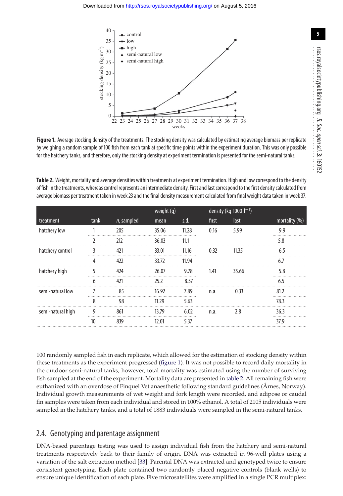

<span id="page-4-0"></span>**Figure 1.** Average stocking density of the treatments. The stocking density was calculated by estimating average biomass per replicate by weighing a random sample of 100 fish from each tank at specific time points within the experiment duration. This was only possible for the hatchery tanks, and therefore, only the stocking density at experiment termination is presented for the semi-natural tanks.

<span id="page-4-1"></span>**Table 2.** Weight, mortality and average densities within treatments at experiment termination. High and low correspond to the density of fish in the treatments, whereas control represents an intermediate density. First and last correspond to the first density calculated from average biomass per treatment taken in week 23 and the final density measurement calculated from final weight data taken in week 37.

|                   |      |               |       | weight (g) |       | density (kg 1000 $1^{-1}$ ) |                  |  |
|-------------------|------|---------------|-------|------------|-------|-----------------------------|------------------|--|
| treatment         | tank | $n$ , sampled | mean  | s.d.       | first | last                        | mortality $(\%)$ |  |
| hatchery low      |      | 205           | 35.06 | 11.28      | 0.16  | 5.99                        | 9.9              |  |
|                   |      | 212           | 36.03 | 11.1       |       |                             | 5.8              |  |
| hatchery control  |      | 421           | 33.01 | 11.16      | 0.32  | 11.35                       | 6.5              |  |
|                   | 4    | 422           | 33.72 | 11.94      |       |                             | 6.7              |  |
| hatchery high     | 5    | 424           | 26.07 | 9.78       | 1.41  | 35.66                       | 5.8              |  |
|                   | 6    | 421           | 25.2  | 8.57       |       |                             |                  |  |
| semi-natural low  |      | 85            | 16.92 | 7.89       | n.a.  | 0.33                        | 81.2             |  |
|                   | 8    | 98            | 11.29 | 5.63       |       |                             | 78.3             |  |
| semi-natural high | g    | 861           | 13 79 | 6.02       | n.a.  | 2.8                         | 36.3             |  |
|                   | 10   | 839           | 12.01 | 5.37       |       |                             | 37.9             |  |

100 randomly sampled fish in each replicate, which allowed for the estimation of stocking density within these treatments as the experiment progressed [\(figure 1\)](#page-4-0). It was not possible to record daily mortality in the outdoor semi-natural tanks; however, total mortality was estimated using the number of surviving fish sampled at the end of the experiment. Mortality data are presented in [table 2.](#page-4-1) All remaining fish were euthanized with an overdose of Finquel Vet anaesthetic following standard guidelines (Årnes, Norway). Individual growth measurements of wet weight and fork length were recorded, and adipose or caudal fin samples were taken from each individual and stored in 100% ethanol. A total of 2105 individuals were sampled in the hatchery tanks, and a total of 1883 individuals were sampled in the semi-natural tanks.

#### 2.4. Genotyping and parentage assignment

DNA-based parentage testing was used to assign individual fish from the hatchery and semi-natural treatments respectively back to their family of origin. DNA was extracted in 96-well plates using a variation of the salt extraction method [\[33\]](#page-14-21). Parental DNA was extracted and genotyped twice to ensure consistent genotyping. Each plate contained two randomly placed negative controls (blank wells) to ensure unique identification of each plate. Five microsatellites were amplified in a single PCR multiplex: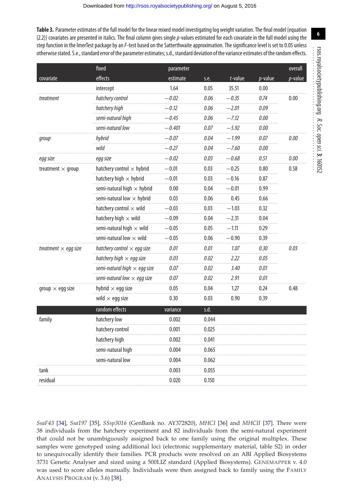<span id="page-5-0"></span>Table 3. Parameter estimates of the full model for the linear mixed model investigating log weight variation. The final model (equation (2.2)) covariates are presented in italics. The final column gives single p-values estimated for each covariate in the full model using the step function in the ImerTest package by an F-test based on the Satterthwaite approximation. The significance level is set to 0.05 unless otherwise stated. S.e., standard error of the parameter estimates; s.d., standard deviation of the variance estimates of the random effects.

|                                                                                      | fixed                               | parameter |       |            |                                                                                                              | overall    |  |
|--------------------------------------------------------------------------------------|-------------------------------------|-----------|-------|------------|--------------------------------------------------------------------------------------------------------------|------------|--|
| covariate                                                                            | effects                             | estimate  | s.e.  | $t$ -value | $p$ -value                                                                                                   | $p$ -value |  |
|                                                                                      | intercept                           | 1.64      | 0.05  | 35.51      | 0.00                                                                                                         |            |  |
| treatment                                                                            | hatchery control                    | -0.02     | 0.06  | $-0.35$    | 0.74                                                                                                         | 0.00       |  |
|                                                                                      | hatchery high                       | $-0.12$   | 0.06  | $-2.01$    | 0.09                                                                                                         |            |  |
|                                                                                      | semi-natural high                   | -0.45     | 0.06  | -7.12      | 0.00                                                                                                         |            |  |
|                                                                                      | semi-natural low                    | -0.401    | 0.07  | $-5.92$    | 0.00                                                                                                         |            |  |
| group                                                                                | hybrid                              | $-0.07$   | 0.04  | $-1.99$    | 0.07                                                                                                         | 0.00       |  |
|                                                                                      | wild                                | -0.27     | 0.04  | —7.60      | 0.00                                                                                                         |            |  |
| egg size                                                                             | egg size                            | $-0.02$   | 0.03  | $-0.68$    | 0.51                                                                                                         | 0.00       |  |
| treatment $\times$ group                                                             | hatchery control $\times$ hybrid    | $-0.01$   | 0.03  | $-0.25$    | 0.80<br>0.87<br>0.99<br>0.66<br>0.32<br>0.04<br>0.29<br>0.39<br>0.30<br>0.05<br>0.01<br>0.01<br>0.24<br>0.39 | 0.58       |  |
|                                                                                      | hatchery high $\times$ hybrid       | -0.01     | 0.03  | $-0.16$    |                                                                                                              |            |  |
| treatment $\times$ egg size<br>group $\times$ egg size<br>family<br>tank<br>residual | semi-natural high $\times$ hybrid   | 0.00      | 0.04  | $-0.01$    |                                                                                                              |            |  |
|                                                                                      | semi-natural low $\times$ hybrid    | 0.03      | 0.06  | 0.45       |                                                                                                              |            |  |
|                                                                                      | hatchery control $\times$ wild      | $-0.03$   | 0.03  | $-1.03$    |                                                                                                              |            |  |
|                                                                                      | hatchery high $\times$ wild         | $-0.09$   | 0.04  | $-2.31$    |                                                                                                              |            |  |
|                                                                                      | semi-natural high $\times$ wild     | $-0.05$   | 0.05  | $-1.11$    |                                                                                                              |            |  |
|                                                                                      | semi-natural low $\times$ wild      | -0.05     | 0.06  | -0.90      |                                                                                                              |            |  |
|                                                                                      | hatchery control $\times$ egg size  | 0.01      | 0.01  | 1.07       |                                                                                                              | 0.03       |  |
|                                                                                      | hatchery high $\times$ egg size     | 0.03      | 0.02  | 2.22       |                                                                                                              |            |  |
|                                                                                      | semi-natural high $\times$ egg size | 0.07      | 0.02  | 3.40       |                                                                                                              |            |  |
|                                                                                      | semi-natural low $\times$ egg size  | 0.07      | 0.02  | 2.91       |                                                                                                              |            |  |
|                                                                                      | hybrid $\times$ egg size            | 0.05      | 0.04  | 1.27       |                                                                                                              | 0.48       |  |
|                                                                                      | wild $\times$ egg size              | 0.30      | 0.03  | 0.90       |                                                                                                              |            |  |
|                                                                                      | random effects                      | variance  | s.d.  |            |                                                                                                              |            |  |
|                                                                                      | hatchery low                        | 0.002     | 0.044 |            |                                                                                                              |            |  |
|                                                                                      | hatchery control                    | 0.001     | 0.025 |            |                                                                                                              |            |  |
|                                                                                      | hatchery high                       | 0.002     | 0.041 |            |                                                                                                              |            |  |
|                                                                                      | semi-natural high                   | 0.004     | 0.065 |            |                                                                                                              |            |  |
|                                                                                      | semi-natural low                    | 0.004     | 0.062 |            |                                                                                                              |            |  |
|                                                                                      |                                     | 0.003     | 0.055 |            |                                                                                                              |            |  |
|                                                                                      |                                     | 0.020     | 0.150 |            |                                                                                                              |            |  |

SsaF43 [34], Ssa197 [35], SSsp3016 (GenBank no. AY372820), MHCI [36] and MHCII [37]. There were 38 individuals from the hatchery experiment and 82 individuals from the semi-natural experiment that could not be unambiguously assigned back to one family using the original multiplex. These samples were genotyped using additional loci (electronic supplementary material, table S2) in order to unequivocally identify their families. PCR products were resolved on an ABI Applied Biosystems 3731 Genetic Analyser and sized using a 500LIZ standard (Applied Biosystems). GENEMAPPER v. 4.0 was used to score alleles manually. Individuals were then assigned back to family using the FAMILY ANALYSIS PROGRAM (v. 3.6) [38].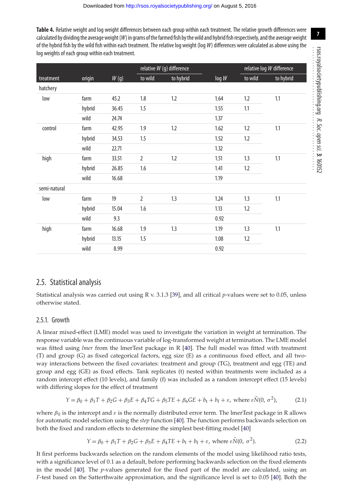<span id="page-6-0"></span>**Table 4.** Relative weight and log weight differences between each group within each treatment. The relative growth differences were calculated by dividing the average weight  $(W)$  in grams of the farmed fish by the wild and hybrid fish respectively, and the average weight of the hybrid fish by the wild fish within each treatment. The relative log weight (log W) differences were calculated as above using the log weights of each group within each treatment.

|        |       |         | relative W (g) difference |       | relative log W difference |           |  |
|--------|-------|---------|---------------------------|-------|---------------------------|-----------|--|
| origin | W(g)  | to wild | to hybrid                 | log W | to wild                   | to hybrid |  |
|        |       |         |                           |       |                           |           |  |
| tarm   | 45.2  | 1.8     | 1.2                       | 1.64  | 1.2                       | 1.1       |  |
| hybrid | 36.45 | 1.5     |                           | 1.55  | 1.1                       |           |  |
| wild   | 24.74 |         |                           | 1.37  |                           |           |  |
| farm   | 42.95 | 1.9     | 1.2                       | 1.62  | 1.2                       | 1.1       |  |
| hybrid | 34.53 | 1.5     |                           | 1.52  | 1.2                       |           |  |
| wild   | 22.71 |         |                           | 1.32  |                           |           |  |
| farm   | 33.51 |         | 1.2                       | 1.51  | 1.3                       | 1.1       |  |
| hybrid | 26.85 | 1.6     |                           | 1.41  | 1.2                       |           |  |
| wild   | 16.68 |         |                           | 1.19  |                           |           |  |
|        |       |         |                           |       |                           |           |  |
| farm   | 19    |         | 13                        | 1.24  | 1.3                       | 1.1       |  |
| hybrid | 15.04 | 1.6     |                           | 1.13  | 1.2                       |           |  |
| wild   | 9.3   |         |                           | 0.92  |                           |           |  |
| farm   | 16.68 | 1.9     | 1.3                       | 1.19  | 1.3                       | 1.1       |  |
| hybrid | 13.15 | 1.5     |                           | 1.08  | 1.2                       |           |  |
| wild   | 8.99  |         |                           | 0.92  |                           |           |  |
|        |       |         |                           |       |                           |           |  |

#### 2.5. Statistical analysis

Statistical analysis was carried out using R v. 3.1.3 [\[39\]](#page-14-27), and all critical *p*-values were set to 0.05, unless otherwise stated.

#### 2.5.1. Growth

A linear mixed-effect (LME) model was used to investigate the variation in weight at termination. The response variable was the continuous variable of log-transformed weight at termination. The LME model was fitted using *lmer* from the lmerTest package in R [\[40\]](#page-14-28). The full model was fitted with treatment (T) and group (G) as fixed categorical factors, egg size (E) as a continuous fixed effect, and all twoway interactions between the fixed covariates: treatment and group (TG), treatment and egg (TE) and group and egg (GE) as fixed effects. Tank replicates (t) nested within treatments were included as a random intercept effect (10 levels), and family (f) was included as a random intercept effect (15 levels) with differing slopes for the effect of treatment

$$
Y = \beta_0 + \beta_1 T + \beta_2 G + \beta_3 E + \beta_4 T G + \beta_5 T E + \beta_6 G E + b_t + b_f + \varepsilon, \text{ where } \varepsilon \tilde{N}(0, \sigma^2),
$$
 (2.1)

where  $\beta_0$  is the intercept and  $\varepsilon$  is the normally distributed error term. The lmerTest package in R allows for automatic model selection using the *step* function [\[40\]](#page-14-28). The function performs backwards selection on both the fixed and random effects to determine the simplest best-fitting model [\[40\]](#page-14-28)

$$
Y = \beta_0 + \beta_1 T + \beta_2 G + \beta_3 E + \beta_4 T E + b_t + b_f + \varepsilon, \text{ where } \varepsilon \tilde{N}(0, \sigma^2). \tag{2.2}
$$

It first performs backwards selection on the random elements of the model using likelihood ratio tests, with a significance level of 0.1 as a default, before performing backwards selection on the fixed elements in the model [\[40\]](#page-14-28). The *p*-values generated for the fixed part of the model are calculated, using an *F*-test based on the Satterthwaite approximation, and the significance level is set to 0.05 [\[40\]](#page-14-28). Both the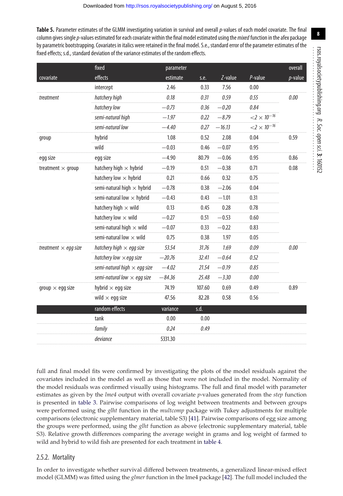<span id="page-7-0"></span>**Table 5.** Parameter estimates of the GLMM investigating variation in survival and overall p-values of each model covariate. The final column gives single p-values estimated for each covariate within the final model estimated using the *mixed* function in the afex package by parametric bootstrapping. Covariates in italics were retained in the final model. S.e., standard error of the parameter estimates of the fixed effects; s.d., standard deviation of the variance estimates of the random effects.

| $p$ -value<br>0.00<br>0.59 |
|----------------------------|
|                            |
|                            |
|                            |
|                            |
|                            |
|                            |
|                            |
|                            |
| 0.86                       |
| 0.08                       |
|                            |
|                            |
|                            |
|                            |
|                            |
|                            |
|                            |
| 0.00                       |
|                            |
|                            |
|                            |
| 0.89                       |
|                            |
|                            |
|                            |
|                            |
|                            |
|                            |

full and final model fits were confirmed by investigating the plots of the model residuals against the covariates included in the model as well as those that were not included in the model. Normality of the model residuals was confirmed visually using histograms. The full and final model with parameter estimates as given by the *lme4* output with overall covariate *p*-values generated from the *step* function is presented in [table 3.](#page-5-0) Pairwise comparisons of log weight between treatments and between groups were performed using the *glht* function in the *multcomp* package with Tukey adjustments for multiple comparisons (electronic supplementary material, table S3) [\[41\]](#page-14-29). Pairwise comparisons of egg size among the groups were performed, using the *glht* function as above (electronic supplementary material, table S3). Relative growth differences comparing the average weight in grams and log weight of farmed to wild and hybrid to wild fish are presented for each treatment in [table 4.](#page-6-0)

#### 2.5.2. Mortality

In order to investigate whether survival differed between treatments, a generalized linear-mixed effect model (GLMM) was fitted using the *glmer* function in the lme4 package [\[42\]](#page-14-30). The full model included the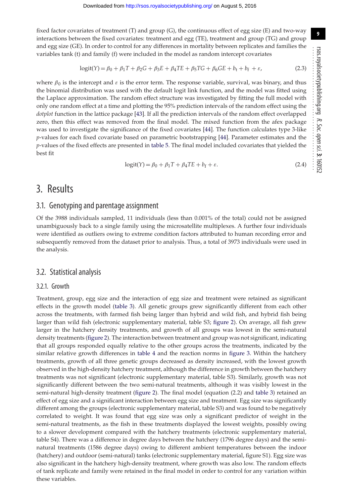fixed factor covariates of treatment (T) and group (G), the continuous effect of egg size (E) and two-way interactions between the fixed covariates: treatment and egg (TE), treatment and group (TG) and group and egg size (GE). In order to control for any differences in mortality between replicates and families the variables tank (t) and family (f) were included in the model as random intercept covariates

$$
logit(Y) = \beta_0 + \beta_1 T + \beta_2 G + \beta_3 E + \beta_4 T E + \beta_5 T G + \beta_6 G E + b_t + b_f + \varepsilon,
$$
\n(2.3)

where  $\beta_0$  is the intercept and  $\varepsilon$  is the error term. The response variable, survival, was binary, and thus the binomial distribution was used with the default logit link function, and the model was fitted using the Laplace approximation. The random effect structure was investigated by fitting the full model with only one random effect at a time and plotting the 95% prediction intervals of the random effect using the *dotplot* function in the lattice package [\[43\]](#page-14-31). If all the prediction intervals of the random effect overlapped zero, then this effect was removed from the final model. The mixed function from the afex package was used to investigate the significance of the fixed covariates [\[44\]](#page-14-32). The function calculates type 3-like *p*-values for each fixed covariate based on parametric bootstrapping [\[44\]](#page-14-32). Parameter estimates and the *p*-values of the fixed effects are presented in [table 5.](#page-7-0) The final model included covariates that yielded the best fit

$$
logit(Y) = \beta_0 + \beta_1 T + \beta_4 TE + b_f + \varepsilon.
$$
 (2.4)

# 3. Results

#### 3.1. Genotyping and parentage assignment

Of the 3988 individuals sampled, 11 individuals (less than 0.001% of the total) could not be assigned unambiguously back to a single family using the microsatellite multiplexes. A further four individuals were identified as outliers owing to extreme condition factors attributed to human recording error and subsequently removed from the dataset prior to analysis. Thus, a total of 3973 individuals were used in the analysis.

#### 3.2. Statistical analysis

#### 3.2.1. Growth

Treatment, group, egg size and the interaction of egg size and treatment were retained as significant effects in the growth model [\(table 3\)](#page-5-0). All genetic groups grew significantly different from each other across the treatments, with farmed fish being larger than hybrid and wild fish, and hybrid fish being larger than wild fish (electronic supplementary material, table S3; [figure 2\)](#page-9-0). On average, all fish grew larger in the hatchery density treatments, and growth of all groups was lowest in the semi-natural density treatments [\(figure 2\)](#page-9-0). The interaction between treatment and group was not significant, indicating that all groups responded equally relative to the other groups across the treatments, indicated by the similar relative growth differences in [table 4](#page-6-0) and the reaction norms in [figure 3.](#page-9-1) Within the hatchery treatments, growth of all three genetic groups decreased as density increased, with the lowest growth observed in the high-density hatchery treatment, although the difference in growth between the hatchery treatments was not significant (electronic supplementary material, table S3). Similarly, growth was not significantly different between the two semi-natural treatments, although it was visibly lowest in the semi-natural high-density treatment [\(figure 2\)](#page-9-0). The final model (equation (2.2) and [table 3\)](#page-5-0) retained an effect of egg size and a significant interaction between egg size and treatment. Egg size was significantly different among the groups (electronic supplementary material, table S3) and was found to be negatively correlated to weight. It was found that egg size was only a significant predictor of weight in the semi-natural treatments, as the fish in these treatments displayed the lowest weights, possibly owing to a slower development compared with the hatchery treatments (electronic supplementary material, table S4). There was a difference in degree days between the hatchery (1796 degree days) and the seminatural treatments (1586 degree days) owing to different ambient temperatures between the indoor (hatchery) and outdoor (semi-natural) tanks (electronic supplementary material, figure S1). Egg size was also significant in the hatchery high-density treatment, where growth was also low. The random effects of tank replicate and family were retained in the final model in order to control for any variation within these variables.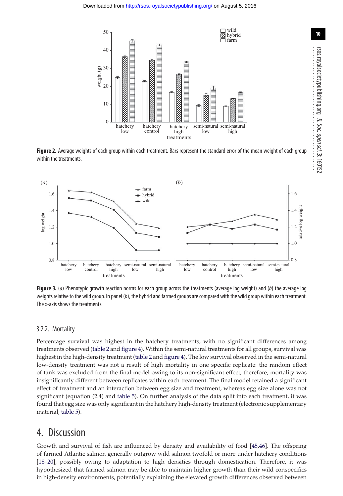

<span id="page-9-0"></span>**Figure 2.** Average weights of each group within each treatment. Bars represent the standard error of the mean weight of each group within the treatments.



<span id="page-9-1"></span>**Figure 3.** (a) Phenotypic growth reaction norms for each group across the treatments (average log weight) and (b) the average log weights relative to the wild group. In panel  $(b)$ , the hybrid and farmed groups are compared with the wild group within each treatment. The *x*-axis shows the treatments.

#### 3.2.2. Mortality

Percentage survival was highest in the hatchery treatments, with no significant differences among treatments observed [\(table 2](#page-4-1) and [figure 4\)](#page-10-0). Within the semi-natural treatments for all groups, survival was highest in the high-density treatment [\(table 2](#page-4-1) and [figure 4\)](#page-10-0). The low survival observed in the semi-natural low-density treatment was not a result of high mortality in one specific replicate: the random effect of tank was excluded from the final model owing to its non-significant effect; therefore, mortality was insignificantly different between replicates within each treatment. The final model retained a significant effect of treatment and an interaction between egg size and treatment, whereas egg size alone was not significant (equation (2.4) and [table 5\)](#page-7-0). On further analysis of the data split into each treatment, it was found that egg size was only significant in the hatchery high-density treatment (electronic supplementary material, [table 5\)](#page-7-0).

### 4. Discussion

Growth and survival of fish are influenced by density and availability of food [\[45,](#page-14-33)[46\]](#page-14-34). The offspring of farmed Atlantic salmon generally outgrow wild salmon twofold or more under hatchery conditions [\[18](#page-14-14)[–20\]](#page-14-7), possibly owing to adaptation to high densities through domestication. Therefore, it was hypothesized that farmed salmon may be able to maintain higher growth than their wild conspecifics in high-density environments, potentially explaining the elevated growth differences observed between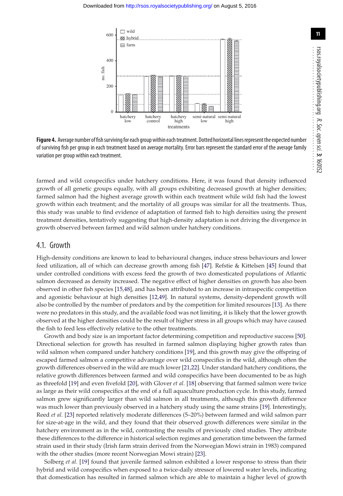

<span id="page-10-0"></span>Figure 4. Average number of fish surviving for each group within each treatment. Dotted horizontal lines represent the expected number of surviving fish per group in each treatment based on average mortality. Error bars represent the standard error of the average family variation per group within each treatment.

farmed and wild conspecifics under hatchery conditions. Here, it was found that density influenced growth of all genetic groups equally, with all groups exhibiting decreased growth at higher densities; farmed salmon had the highest average growth within each treatment while wild fish had the lowest growth within each treatment; and the mortality of all groups was similar for all the treatments. Thus, this study was unable to find evidence of adaptation of farmed fish to high densities using the present treatment densities, tentatively suggesting that high-density adaptation is not driving the divergence in growth observed between farmed and wild salmon under hatchery conditions.

#### 4.1. Growth

High-density conditions are known to lead to behavioural changes, induce stress behaviours and lower feed utilization, all of which can decrease growth among fish [\[47\]](#page-14-35). Refstie & Kittelsen [\[45\]](#page-14-33) found that under controlled conditions with excess feed the growth of two domesticated populations of Atlantic salmon decreased as density increased. The negative effect of higher densities on growth has also been observed in other fish species [\[15,](#page-14-4)[48\]](#page-14-36), and has been attributed to an increase in intraspecific competition and agonistic behaviour at high densities [\[12,](#page-14-1)[49\]](#page-14-37). In natural systems, density-dependent growth will also be controlled by the number of predators and by the competition for limited resources [\[13\]](#page-14-2). As there were no predators in this study, and the available food was not limiting, it is likely that the lower growth observed at the higher densities could be the result of higher stress in all groups which may have caused the fish to feed less effectively relative to the other treatments.

Growth and body size is an important factor determining competition and reproductive success [\[50\]](#page-14-38). Directional selection for growth has resulted in farmed salmon displaying higher growth rates than wild salmon when compared under hatchery conditions [\[19\]](#page-14-11), and this growth may give the offspring of escaped farmed salmon a competitive advantage over wild conspecifics in the wild, although often the growth differences observed in the wild are much lower [\[21](#page-14-8)[,22\]](#page-14-39). Under standard hatchery conditions, the relative growth differences between farmed and wild conspecifics have been documented to be as high as threefold [\[19\]](#page-14-11) and even fivefold [\[20\]](#page-14-7), with Glover *et al.* [\[18\]](#page-14-14) observing that farmed salmon were twice as large as their wild conspecifics at the end of a full aquaculture production cycle. In this study, farmed salmon grew significantly larger than wild salmon in all treatments, although this growth difference was much lower than previously observed in a hatchery study using the same strains [\[19\]](#page-14-11). Interestingly, Reed *et al.* [\[23\]](#page-14-9) reported relatively moderate differences (5–20%) between farmed and wild salmon parr for size-at-age in the wild, and they found that their observed growth differences were similar in the hatchery environment as in the wild, contrasting the results of previously cited studies. They attribute these differences to the difference in historical selection regimes and generation time between the farmed strain used in their study (Irish farm strain derived from the Norwegian Mowi strain in 1983) compared with the other studies (more recent Norwegian Mowi strain) [\[23\]](#page-14-9).

Solberg *et al.* [\[19\]](#page-14-11) found that juvenile farmed salmon exhibited a lower response to stress than their hybrid and wild conspecifics when exposed to a twice-daily stressor of lowered water levels, indicating that domestication has resulted in farmed salmon which are able to maintain a higher level of growth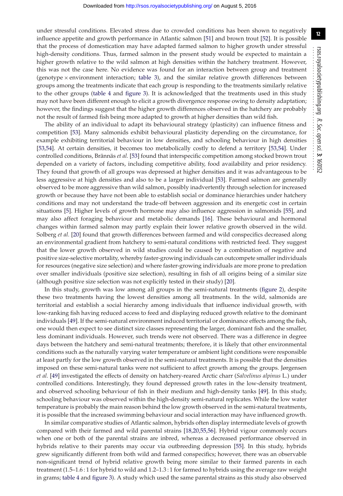under stressful conditions. Elevated stress due to crowded conditions has been shown to negatively influence appetite and growth performance in Atlantic salmon [\[51\]](#page-14-40) and brown trout [\[52\]](#page-15-0). It is possible that the process of domestication may have adapted farmed salmon to higher growth under stressful high-density conditions. Thus, farmed salmon in the present study would be expected to maintain a higher growth relative to the wild salmon at high densities within the hatchery treatment. However, this was not the case here. No evidence was found for an interaction between group and treatment (genotype  $\times$  environment interaction; [table 3\)](#page-5-0), and the similar relative growth differences between groups among the treatments indicate that each group is responding to the treatments similarly relative to the other groups [\(table 4](#page-6-0) and [figure 3\)](#page-9-1). It is acknowledged that the treatments used in this study may not have been different enough to elicit a growth divergence response owing to density adaptation; however, the findings suggest that the higher growth differences observed in the hatchery are probably not the result of farmed fish being more adapted to growth at higher densities than wild fish.

The ability of an individual to adapt its behavioural strategy (plasticity) can influence fitness and competition [\[53\]](#page-15-1). Many salmonids exhibit behavioural plasticity depending on the circumstance, for example exhibiting territorial behaviour in low densities, and schooling behaviour in high densities [\[53,](#page-15-1)[54\]](#page-15-2). At certain densities, it becomes too metabolically costly to defend a territory [\[53](#page-15-1)[,54\]](#page-15-2). Under controlled conditions, Brännäs *et al.* [\[53\]](#page-15-1) found that interspecific competition among stocked brown trout depended on a variety of factors, including competitive ability, food availability and prior residency. They found that growth of all groups was depressed at higher densities and it was advantageous to be less aggressive at high densities and also to be a larger individual [\[53\]](#page-15-1). Farmed salmon are generally observed to be more aggressive than wild salmon, possibly inadvertently through selection for increased growth or because they have not been able to establish social or dominance hierarchies under hatchery conditions and may not understand the trade-off between aggression and its energetic cost in certain situations [\[5\]](#page-13-4). Higher levels of growth hormone may also influence aggression in salmonids [\[55\]](#page-15-3), and may also affect foraging behaviour and metabolic demands [\[16\]](#page-14-5). These behavioural and hormonal changes within farmed salmon may partly explain their lower relative growth observed in the wild. Solberg *et al.* [\[20\]](#page-14-7) found that growth differences between farmed and wild conspecifics decreased along an environmental gradient from hatchery to semi-natural conditions with restricted feed. They suggest that the lower growth observed in wild studies could be caused by a combination of negative and positive size-selective mortality, whereby faster-growing individuals can outcompete smaller individuals for resources (negative size selection) and where faster-growing individuals are more prone to predation over smaller individuals (positive size selection), resulting in fish of all origins being of a similar size (although positive size selection was not explicitly tested in their study) [\[20\]](#page-14-7).

In this study, growth was low among all groups in the semi-natural treatments [\(figure 2\)](#page-9-0), despite these two treatments having the lowest densities among all treatments. In the wild, salmonids are territorial and establish a social hierarchy among individuals that influence individual growth, with low-ranking fish having reduced access to feed and displaying reduced growth relative to the dominant individuals [\[49\]](#page-14-37). If the semi-natural environment induced territorial or dominance effects among the fish, one would then expect to see distinct size classes representing the larger, dominant fish and the smaller, less dominant individuals. However, such trends were not observed. There was a difference in degree days between the hatchery and semi-natural treatments; therefore, it is likely that other environmental conditions such as the naturally varying water temperature or ambient light conditions were responsible at least partly for the low growth observed in the semi-natural treatments. It is possible that the densities imposed on these semi-natural tanks were not sufficient to affect growth among the groups. Jørgensen *et al.* [\[49\]](#page-14-37) investigated the effects of density on hatchery-reared Arctic charr (*Salvelinus alpinus* L.) under controlled conditions. Interestingly, they found depressed growth rates in the low-density treatment, and observed schooling behaviour of fish in their medium and high-density tanks [\[49\]](#page-14-37). In this study, schooling behaviour was observed within the high-density semi-natural replicates. While the low water temperature is probably the main reason behind the low growth observed in the semi-natural treatments, it is possible that the increased swimming behaviour and social interaction may have influenced growth.

In similar comparative studies of Atlantic salmon, hybrids often display intermediate levels of growth compared with their farmed and wild parental strains [\[18](#page-14-14)[,20,](#page-14-7)[55](#page-15-3)[,56\]](#page-15-4). Hybrid vigour commonly occurs when one or both of the parental strains are inbred, whereas a decreased performance observed in hybrids relative to their parents may occur via outbreeding depression [\[55\]](#page-15-3). In this study, hybrids grew significantly different from both wild and farmed conspecifics; however, there was an observable non-significant trend of hybrid relative growth being more similar to their farmed parents in each treatment (1.5–1.6 : 1 for hybrid to wild and 1.2–1.3 : 1 for farmed to hybrids using the average raw weight in grams; [table 4](#page-6-0) and [figure 3\)](#page-9-1). A study which used the same parental strains as this study also observed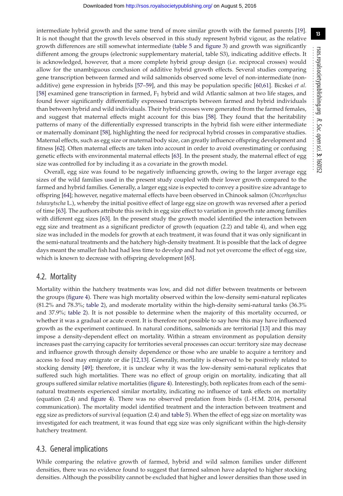intermediate hybrid growth and the same trend of more similar growth with the farmed parents [\[19\]](#page-14-11). It is not thought that the growth levels observed in this study represent hybrid vigour, as the relative growth differences are still somewhat intermediate [\(table 5](#page-7-0) and [figure 3\)](#page-9-1) and growth was significantly different among the groups (electronic supplementary material, table S3), indicating additive effects. It is acknowledged, however, that a more complete hybrid group design (i.e. reciprocal crosses) would allow for the unambiguous conclusion of additive hybrid growth effects. Several studies comparing gene transcription between farmed and wild salmonids observed some level of non-intermediate (nonadditive) gene expression in hybrids [\[57–](#page-15-5)[59\]](#page-15-6), and this may be population specific [\[60](#page-15-7)[,61\]](#page-15-8). Bicskei *et al.* [\[58\]](#page-15-9) examined gene transcription in farmed,  $F_1$  hybrid and wild Atlantic salmon at two life stages, and found fewer significantly differentially expressed transcripts between farmed and hybrid individuals than between hybrid and wild individuals. Their hybrid crosses were generated from the farmed females, and suggest that maternal effects might account for this bias [\[58\]](#page-15-9). They found that the heritability patterns of many of the differentially expressed transcripts in the hybrid fish were either intermediate or maternally dominant [\[58\]](#page-15-9), highlighting the need for reciprocal hybrid crosses in comparative studies. Maternal effects, such as egg size or maternal body size, can greatly influence offspring development and fitness [\[62\]](#page-15-10). Often maternal effects are taken into account in order to avoid overestimating or confusing genetic effects with environmental maternal effects [\[63\]](#page-15-11). In the present study, the maternal effect of egg size was controlled for by including it as a covariate in the growth model.

Overall, egg size was found to be negatively influencing growth, owing to the larger average egg sizes of the wild families used in the present study coupled with their lower growth compared to the farmed and hybrid families. Generally, a larger egg size is expected to convey a positive size advantage to offspring [\[64\]](#page-15-12); however, negative maternal effects have been observed in Chinook salmon (*Oncorhynchus tshawytscha* L.), whereby the initial positive effect of large egg size on growth was reversed after a period of time [\[63\]](#page-15-11). The authors attribute this switch in egg size effect to variation in growth rate among families with different egg sizes [\[63\]](#page-15-11). In the present study the growth model identified the interaction between egg size and treatment as a significant predictor of growth (equation (2.2) and table 4), and when egg size was included in the models for growth at each treatment, it was found that it was only significant in the semi-natural treatments and the hatchery high-density treatment. It is possible that the lack of degree days meant the smaller fish had had less time to develop and had not yet overcome the effect of egg size, which is known to decrease with offspring development [\[65\]](#page-15-13).

#### 4.2. Mortality

Mortality within the hatchery treatments was low, and did not differ between treatments or between the groups [\(figure 4\)](#page-10-0). There was high mortality observed within the low-density semi-natural replicates (81.2% and 78.3%; [table 2\)](#page-4-1), and moderate mortality within the high-density semi-natural tanks (36.3% and 37.9%; [table 2\)](#page-4-1). It is not possible to determine when the majority of this mortality occurred, or whether it was a gradual or acute event. It is therefore not possible to say how this may have influenced growth as the experiment continued. In natural conditions, salmonids are territorial [\[13\]](#page-14-2) and this may impose a density-dependent effect on mortality. Within a stream environment as population density increases past the carrying capacity for territories several processes can occur: territory size may decrease and influence growth through density dependence or those who are unable to acquire a territory and access to food may emigrate or die [\[12](#page-14-1)[,13\]](#page-14-2). Generally, mortality is observed to be positively related to stocking density [\[49\]](#page-14-37); therefore, it is unclear why it was the low-density semi-natural replicates that suffered such high mortalities. There was no effect of group origin on mortality, indicating that all groups suffered similar relative mortalities [\(figure 4\)](#page-10-0). Interestingly, both replicates from each of the seminatural treatments experienced similar mortality, indicating no influence of tank effects on mortality (equation (2.4) and [figure 4\)](#page-10-0). There was no observed predation from birds (I.-H.M. 2014, personal communication). The mortality model identified treatment and the interaction between treatment and egg size as predictors of survival (equation (2.4) and [table 5\)](#page-7-0). When the effect of egg size on mortality was investigated for each treatment, it was found that egg size was only significant within the high-density hatchery treatment.

#### 4.3. General implications

While comparing the relative growth of farmed, hybrid and wild salmon families under different densities, there was no evidence found to suggest that farmed salmon have adapted to higher stocking densities. Although the possibility cannot be excluded that higher and lower densities than those used in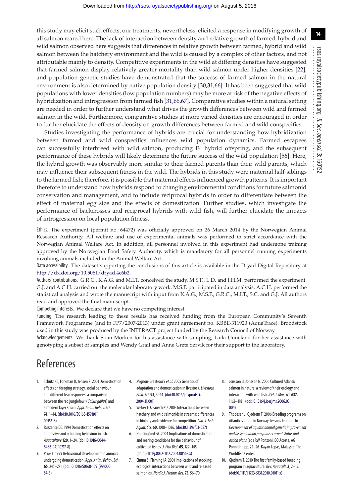this study may elicit such effects, our treatments, nevertheless, elicited a response in modifying growth of all salmon reared here. The lack of interaction between density and relative growth of farmed, hybrid and wild salmon observed here suggests that differences in relative growth between farmed, hybrid and wild salmon between the hatchery environment and the wild is caused by a complex of other factors, and not attributable mainly to density. Competitive experiments in the wild at differing densities have suggested that farmed salmon display relatively greater mortality than wild salmon under higher densities [\[22\]](#page-14-39), and population genetic studies have demonstrated that the success of farmed salmon in the natural environment is also determined by native population density [\[30,](#page-14-18)[31,](#page-14-19)[66\]](#page-15-14). It has been suggested that wild populations with lower densities (low population numbers) may be more at risk of the negative effects of hybridization and introgression from farmed fish [\[31](#page-14-19)[,66,](#page-15-14)[67\]](#page-15-15). Comparative studies within a natural setting are needed in order to further understand what drives the growth differences between wild and farmed salmon in the wild. Furthermore, comparative studies at more varied densities are encouraged in order to further elucidate the effects of density on growth differences between farmed and wild conspecifics.

Studies investigating the performance of hybrids are crucial for understanding how hybridization between farmed and wild conspecifics influences wild population dynamics. Farmed escapees can successfully interbreed with wild salmon, producing  $F_1$  hybrid offspring, and the subsequent performance of these hybrids will likely determine the future success of the wild population [\[56\]](#page-15-4). Here, the hybrid growth was observably more similar to their farmed parents than their wild parents, which may influence their subsequent fitness in the wild. The hybrids in this study were maternal half-siblings to the farmed fish; therefore, it is possible that maternal effects influenced growth patterns. It is important therefore to understand how hybrids respond to changing environmental conditions for future salmonid conservation and management, and to include reciprocal hybrids in order to differentiate between the effect of maternal egg size and the effects of domestication. Further studies, which investigate the performance of backcrosses and reciprocal hybrids with wild fish, will further elucidate the impacts of introgression on local population fitness.

Ethics. The experiment (permit no. 64472) was officially approved on 26 March 2014 by the Norwegian Animal Research Authority. All welfare and use of experimental animals was performed in strict accordance with the Norwegian Animal Welfare Act. In addition, all personnel involved in this experiment had undergone training approved by the Norwegian Food Safety Authority, which is mandatory for all personnel running experiments involving animals included in the Animal Welfare Act.

Data accessibility. The dataset supporting the conclusions of this article is available in the Dryad Digital Repository at [http://dx.doi.org/10.5061/dryad.4c6b2.](http://dx.doi.org/10.5061/dryad.4c6b2)

Authors' contributions. G.R.C., K.A.G. and M.I.T. conceived the study. M.S.F., L.D. and I.H.M. performed the experiment. G.J. and A.C.H. carried out the molecular laboratory work. M.S.F. participated in data analysis. A.C.H. performed the statistical analysis and wrote the manuscript with input from K.A.G., M.S.F., G.R.C., M.I.T., S.C. and G.J. All authors read and approved the final manuscript.

Competing interests. We declare that we have no competing interest.

Funding. The research leading to these results has received funding from the European Community's Seventh Framework Programme (and in FP7/2007-2013) under grant agreement no. KBBE-311920 (AquaTrace). Broodstock used in this study was produced by the INTERACT project funded by the Research Council of Norway.

Acknowledgements. We thank Stian Morken for his assistance with sampling, Laila Unneland for her assistance with genotyping a subset of samples and Wendy Grail and Anne Grete Sørvik for their support in the laboratory.

# References

- <span id="page-13-0"></span>1. Schütz KE, Forkman B, Jensen P. 2001 Domestication effects on foraging strategy, social behaviour and different fear responses: a comparison between the red junglefowl (Gallus gallus) and a modern layer strain. Appl. Anim. Behav. Sci. **74**, 1–14. [\(doi:10.1016/S0168-1591\(01\)](http://dx.doi.org/10.1016/S0168-1591(01)00156-3) [00156-3\)](http://dx.doi.org/10.1016/S0168-1591(01)00156-3)
- <span id="page-13-1"></span>2. Ruzzante DE. 1994 Domestication effects on aggressive and schooling behaviour in fish. Aquaculture**120**, 1–24. [\(doi:10.1016/0044-](http://dx.doi.org/10.1016/0044-8486(94)90217-8) [8486\(94\)90217-8\)](http://dx.doi.org/10.1016/0044-8486(94)90217-8)
- <span id="page-13-2"></span>3. Price E. 1999 Behavioural development in animals undergoing domestication. Appl. Anim. Behav. Sci. **65**, 245–271. [\(doi:10.1016/S0168-1591\(99\)000](http://dx.doi.org/10.1016/S0168-1591(99)00087-8) [87-8\)](http://dx.doi.org/10.1016/S0168-1591(99)00087-8)
- <span id="page-13-3"></span>4. Mignon-Grasteau S et al. 2005 Genetics of adaptation and domestication in livestock. Livestock Prod. Sci. **93**, 3–14. [\(doi:10.1016/j.livprodsci.](http://dx.doi.org/10.1016/j.livprodsci.2004.11.001) [2004.11.001\)](http://dx.doi.org/10.1016/j.livprodsci.2004.11.001)
- <span id="page-13-4"></span>5. Weber ED, Fausch KD. 2003 Interactions between hatchery and wild salmonids in streams: differences in biology and evidence for competition. Can. J. Fish Aquat. Sci. **60**, 1018–1036. [\(doi:10.1139/f03-087\)](http://dx.doi.org/10.1139/f03-087)
- <span id="page-13-5"></span>6. Huntingford FA. 2004 Implications of domestication and rearing conditions for the behaviour of cultivated fishes. J. Fish Biol. **65**, 122–145. [\(doi:10.1111/j.0022-1112.2004.00562.x\)](http://dx.doi.org/10.1111/j.0022-1112.2004.00562.x)
- <span id="page-13-6"></span>7. Einum S, Fleming IA. 2001 Implications of stocking: ecological interactions between wild and released salmonids. Nordic J. Freshw. Res.**75**, 56–70.
- <span id="page-13-7"></span>8. Jonsson B, Jonsson N. 2006 Cultured Atlantic salmon in nature: a review of their ecology and interaction with wild fish. ICES J. Mar. Sci. **637**, 1162–1181. [\(doi:10.1016/j.icesjms.2006.03.](http://dx.doi.org/10.1016/j.icesjms.2006.03.004) [004\)](http://dx.doi.org/10.1016/j.icesjms.2006.03.004)
- <span id="page-13-8"></span>9. Thodesen J, Gjedrem T. 2006 Breeding programs on Atlantic salmon in Norway: lessons learned. In Development of aquatic animal genetic improvement and dissemination programs: current status and action plans (eds RW Ponzoni, BO Acosta, AG Ponniah), pp. 22–26. Bayan Lepas, Malaysia: The Worldfish Center.
- <span id="page-13-9"></span>10. Gjedrem T. 2010 The first family-based breeding program in aquaculture.Rev. Aquacult.**2**, 2–15. [\(doi:10.1111/j.1753-5131.2010.01011.x\)](http://dx.doi.org/10.1111/j.1753-5131.2010.01011.x)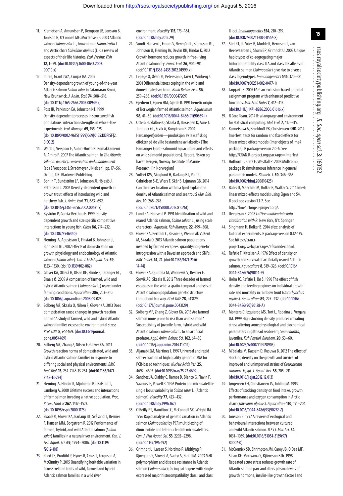- <span id="page-14-0"></span>11. Klemetsen A, Amundsen P, Dempson JB, Jonsson B, Jonsson N, O'Connell MF, Mortensen E. 2003 Atlantic salmon Salmo salar L., brown trout Salmo trutta L. and Arctic charr Salvelinus alpinus (L.): a review of aspects of their life histories. Ecol. Freshw. Fish **12**, 1–59. [\(doi:10.1034/j.1600-0633.2003.](http://dx.doi.org/10.1034/j.1600-0633.2003.00010.x) [00010.x\)](http://dx.doi.org/10.1034/j.1600-0633.2003.00010.x)
- <span id="page-14-1"></span>12. Imre I, Grant JWA, Cunjak RA. 2005 Density-dependent growth of young-of-the-year Atlantic salmon Salmo salar in Catamaran Brook, New Brunswick. J. Anim. Ecol.**74**, 508–516. [\(doi:10.1111/j.1365-2656.2005.00949.x\)](http://dx.doi.org/10.1111/j.1365-2656.2005.00949.x)
- <span id="page-14-2"></span>13. Post JR, Parkinson EA, Johnston NT. 1999 Density-dependent processes in structured fish populations: interaction strengths in whole-lake experiments.Ecol. Monogr. **69**, 155–175. [\(doi:10.1890/0012-9615\(1999\)069\[0155:DDPISF\]2.](http://dx.doi.org/10.1890/0012-9615(1999)069[0155:DDPISF]2.0.CO;2)  $0.002$
- <span id="page-14-3"></span>14. Webb J, Verspoor E, Aubin-Horth N, Romakkaniemi A, Amiro P. 2007 The Atlantic salmon. In The Atlantic salmon: genetics, conservation and management (eds E Verspoor, L Stradmeyer, J Nielsen), pp. 17–56. Oxford, UK: Blackwell Publishing.
- <span id="page-14-4"></span>15. Bohlin T, Sundström LF, Johnsson JI, Höjesjö J, Pettersson J. 2002 Density-dependent growth in brown trout: effects of introducing wild and hatchery fish. J. Anim. Ecol.**71**, 683–692. [\(doi:10.1046/j.1365-2656.2002.00631.x\)](http://dx.doi.org/10.1046/j.1365-2656.2002.00631.x)
- <span id="page-14-5"></span>16. Byström P, García-Berthou E. 1999 Density dependent growth and size specific competitive interactions in young fish. Oikos **86**, 217–232. [\(doi:10.2307/3546440\)](http://dx.doi.org/10.2307/3546440)
- <span id="page-14-6"></span>17. Fleming IA, Agustsson T, Finstad B, Johnsson JI, Björnsson BT. 2002 Effects of domestication on growth physiology and endocrinology of Atlantic salmon (Salmo salar). Can. J. Fish Aquat. Sci. 59, 1323–1330. [\(doi:10.1139/f02-082\)](http://dx.doi.org/10.1139/f02-082)
- <span id="page-14-14"></span>18. Glover KA, Otterå H, Olsen RE, Slinde E, Taranger GL, Skaala Ø. 2009 A comparison of farmed, wild and hybrid Atlantic salmon (Salmosalar L.) reared under farming conditions. Aquaculture**286**, 203–210. [\(doi:10.1016/j.aquaculture.2008.09.023\)](http://dx.doi.org/10.1016/j.aquaculture.2008.09.023)
- <span id="page-14-11"></span>19. Solberg MF, Skaala O, Nilsen F, Glover KA. 2013 Does domestication cause changes in growth reaction norms? A study of farmed, wild and hybrid Atlantic salmon families exposed to environmental stress. PLoS ONE **8**, e54469. [\(doi:10.1371/journal.](http://dx.doi.org/10.1371/journal.pone.0054469) [pone.0054469\)](http://dx.doi.org/10.1371/journal.pone.0054469)
- <span id="page-14-7"></span>20. Solberg MF, Zhang Z, Nilsen F, Glover KA. 2013 Growth reaction norms of domesticated, wild and hybrid Atlantic salmon families in response to differing social and physical environments. BMC Evol. Biol.**13**, 234-2148-13-234. [\(doi:10.1186/1471-](http://dx.doi.org/10.1186/1471-2148-13-234) [2148-13-234\)](http://dx.doi.org/10.1186/1471-2148-13-234)
- <span id="page-14-8"></span>21. Fleming IA, Hindar K, Mjolnerod BJ, Balstad T, Lamberg A. 2000 Lifetime success and interactions of farm salmon invading a native population. Proc. R. Soc. Lond. B **267**, 1517–1523. [\(doi:10.1098/rspb.2000.1173\)](http://dx.doi.org/10.1098/rspb.2000.1173)
- <span id="page-14-39"></span>22. Skaala Ø, Glover KA, Barlaup BT, Svåsand T, Besnier F, Hansen MM, Borgstrøm R. 2012 Performance of farmed, hybrid, and wild Atlantic salmon (Salmo salar) families in a natural river environment. Can. J. Fish Aquat. Sci. **69**, 1994–2006. [\(doi:10.1139/](http://dx.doi.org/10.1139/f2012-118) [f2012-118\)](http://dx.doi.org/10.1139/f2012-118)
- <span id="page-14-9"></span>23. Reed TE, Prodöhl P, Hynes R, Cross T, Ferguson A, McGinnity P. 2015 Quantifying heritable variation in fitness-related traits of wild, farmed and hybrid Atlantic salmon families in a wild river

environment. Heredity **115**, 173–184. [\(doi:10.1038/hdy.2015.29\)](http://dx.doi.org/10.1038/hdy.2015.29)

- <span id="page-14-10"></span>24. Sundt-Hansen L, Einum S, Neregård L, Björnsson BT, Johnsson JI, Fleming IA, Devlin RH, Hindar K. 2012 Growth hormone reduces growth in free-living Atlantic salmon fry.Funct. Ecol.**26**, 904–911. [\(doi:10.1111/j.1365-2435.2012.01999.x\)](http://dx.doi.org/10.1111/j.1365-2435.2012.01999.x)
- <span id="page-14-12"></span>25. Lepage O, Øverli Ø, Petersson E, Järvi T, Winberg S. 2001 Differential stress coping in the wild and domesticated sea trout. Brain Behav. Evol.**56**, 259–268. [\(doi:10.1159/000047209\)](http://dx.doi.org/10.1159/000047209)
- <span id="page-14-13"></span>26. Gjedrem T, Gjoen HM, Gjerde B. 1991 Genetic origin of Norwegian farmed Atlantic salmon. Aquaculture **98**, 41–50. [\(doi:10.1016/0044-8486\(91\)90369-I\)](http://dx.doi.org/10.1016/0044-8486(91)90369-I)
- <span id="page-14-15"></span>27. Otterå H, Skilbrei O, Skaala Ø, Boxaspen K, Aure J, Taranger GL, Ervik A, Borgstrøm R. 2004 Hardangerfjorden—produksjon av laksefisk og effekter på de ville bestandene av laksefisk [The Hardanger Fjord–salmonid aquaculture and effects on wild salmonid populations]. Report, Fisken og havet. Bergen, Norway: Institute of Marine Research. [In Norwegian]
- <span id="page-14-16"></span>28. Vollset KW, Skoglund H, Barlaup BT, Pulg U, Gabrielsen S-E, Wiers T, Skår B, Lrjmann GB. 2014 Can the river location within a fjord explain the density of Atlantic salmon and sea trout? Mar. Biol. Res.**10**, 268–278.

#### [\(doi:10.1080/17451000.2013.810761\)](http://dx.doi.org/10.1080/17451000.2013.810761)

- <span id="page-14-17"></span>29. Lund RA, Hansen LP. 1991 Identification of wild and reared Atlantic salmon, Salmo salaar L., using scale characters . Aquacult. Fish Manage.**22**, 499–508.
- <span id="page-14-18"></span>30. Glover KA, Pertoldi C, Besnier F, Wennevik V, Kent M, Skaala O. 2013 Atlantic salmon populations invaded by farmed escapees: quantifying genetic introgression with a Bayesian approach and SNPs. BMC Genet.**14**, 74. [\(doi:10.1186/1471-2156-](http://dx.doi.org/10.1186/1471-2156-14-74) [14-74\)](http://dx.doi.org/10.1186/1471-2156-14-74)
- <span id="page-14-19"></span>31. Glover KA, Quintela M, Wennevik V, Besnier F, Sorvik AG, Skaala O. 2012 Three decades of farmed escapees in the wild: a spatio-temporal analysis of Atlantic salmon population genetic structure throughout Norway.PLoS ONE **78**, e43129. [\(doi:10.1371/journal.pone.0043129\)](http://dx.doi.org/10.1371/journal.pone.0043129)
- <span id="page-14-20"></span>32. Solberg MF, Zhang Z, Glover KA. 2015 Are farmed salmon more prone to risk than wild salmon? Susceptibility of juvenile farm, hybrid and wild Atlantic salmon Salmo salar L. to an artificial predator. Appl. Anim. Behav. Sci.**162**, 67–80. [\(doi:10.1016/j.applanim.2014.11.012\)](http://dx.doi.org/10.1016/j.applanim.2014.11.012)
- <span id="page-14-21"></span>33. Aljanabi SM, Martinez I. 1997 Universal and rapid salt-extraction of high quality genomic DNA for PCR-based techniques. Nucleic Acids Res.**25**, 4692–4693. [\(doi:10.1093/nar/25.22.4692\)](http://dx.doi.org/10.1093/nar/25.22.4692)
- <span id="page-14-22"></span>34. Sanchez JA, Clabby C, Ramos D, Blanco G, Flavin F, Vazquez E, Powell R. 1996 Protein and microsatellite single locus variability in Salmo salar L. (Atlantic salmon). Heredity **77**, 423–432. [\(doi:10.1038/hdy.1996.162\)](http://dx.doi.org/10.1038/hdy.1996.162)
- <span id="page-14-23"></span>35. O'Reilly PT, Hamilton LC, McConnell SK, Wright JM. 1996 Rapid analysis of genetic variation in Atlantic salmon (Salmo salar) by PCR multiplexing of dinucleotide and tetranucleotide microsatellites. Can. J. Fish Aquat. Sci.**53**, 2292–2298. [\(doi:10.1139/f96-192\)](http://dx.doi:10.1139/f96-192)
- <span id="page-14-24"></span>36. Grimholt U, Larsen S, Nordmo R, Midtlyng P, Kjoeglum S, Storset A, Saebø S, Stet TJM. 2003 MHC polymorphism and disease resistance in Atlantic salmon (Salmo salar); facing pathogens with single expressed major histocompatibility class I and class

II loci. Immunogenetics**554**, 210–219. [\(doi:10.1007/s00251-003-0567-8\)](http://dx.doi.org/10.1007/s00251-003-0567-8)

- <span id="page-14-25"></span>37. Stet RJ, de Vries B, Mudde K, Hermsen T, van Heerwaarden J, Shum BP, Grimholt U. 2002 Unique haplotypes of co-segregating major histocompatibility class II A and class II B alleles in Atlantic salmon (Salmo salar) give rise to diverse class II genotypes. Immunogenetics**545**, 320–331. [\(doi:10.1007/s00251-002-0477-1\)](http://dx.doi.org/10.1007/s00251-002-0477-1)
- <span id="page-14-26"></span>38. Taggart JB. 2007 FAP: an exclusion-based parental assignment program with enhanced predictive functions. Mol. Ecol. Notes**7**, 412–415. [\(doi:10.1111/j.1471-8286.2006.01616.x\)](http://dx.doi.org/10.1111/j.1471-8286.2006.01616.x)
- <span id="page-14-27"></span>39. R Core Team. 2014 R: a language and environment for statistical computing. Mol. Ecol.**7**, 412–415.
- <span id="page-14-28"></span>40. Kuznetsova A, Brockhoff PB, Christensen RHB. 2014 lmerTest: tests for random and fixed effects for linear mixed effect models (lmer objects of lme4 package). R package version 2.0-6. See http://CRAN.R-project.org/package=lmerTest.
- <span id="page-14-29"></span>41. Hothorn T, Bretz F, Westfall P. 2008 Multcomp package R: simultaneous inference in general parametric models. Biometr. J.**50**, 346–363. [\(doi:10.1002/bimj.200810425\)](http://dx.doi.org/10.1002/bimj.200810425)
- <span id="page-14-30"></span>42. Bates D, Maechler M, Bolker B, Walker S. 2014 lme4: linear mixed-effects models using Eigen and S4. R package version 1.1-7. See http://lme4.rforge.r-project.org/.
- <span id="page-14-31"></span>43. Deepayan S. 2008 Lattice: multivariate data visualisation with R. New York, NY: Springer.
- <span id="page-14-32"></span>44. Singmann H, Bolker B. 2014 afex: analysis of factorial experiments. R package version 0.12-135. See https://cran.r-
- <span id="page-14-33"></span>project.org/web/packages/afex/index.html. 45. Refstie T, Kittelsen A. 1976 Effect of density on
- growth and survival of artificially reared Atlantic salmon. Aquaculture **8**, 319–326. [\(doi:10.1016/](http://dx.doi.org/10.1016/0044-8486(76)90114-9) [0044-8486\(76\)90114-9\)](http://dx.doi.org/10.1016/0044-8486(76)90114-9)
- <span id="page-14-34"></span>46. Holm JC, Refstie T, Bø S. 1990 The effect of fish density and feeding regimes on individual growth rate and mortality in rainbow trout (Oncorhynchus mykiss). Aquaculture **89**, 225–232. [\(doi:10.1016/](http://dx.doi.org/10.1016/0044-8486(90)90128-A) [0044-8486\(90\)90128-A\)](http://dx.doi.org/10.1016/0044-8486(90)90128-A)
- <span id="page-14-35"></span>47. Montero D, Izquierdo MS, Tort L, Robaina L, Vergara JM. 1999 High stocking density produces crowding stress altering some physiological and biochemical parameters in gilthead seabream, Spara aurata, juveniles.Fish Physiol. Biochem.**20**, 53–60. [\(doi:10.1023/A:1007719928905\)](http://dx.doi.org/10.1023/A:1007719928905)
- <span id="page-14-36"></span>48. M'balaka M, Kassam D, Rusuwa B. 2012 The effect of stocking density on the growth and survival of improved and unimporved strains of Oreochromis shiranus.Egypt. J. Aquat. Res.**38**, 205–211. [\(doi:10.1016/j.ejar.2012.12.013\)](http://dx.doi.org/10.1016/j.ejar.2012.12.013)
- <span id="page-14-37"></span>49. Jørgensen EH, Christiansen JS, Jobling M. 1993 Effects of stocking density on food intake, growth performance and oxygen consumption in Arctic charr (Salvelinus alpinus). Aquaculture**110**, 191–204. [\(doi:10.1016/0044-8486\(93\)90272-Z\)](http://dx.doi.org/10.1016/0044-8486(93)90272-Z)
- <span id="page-14-38"></span>50. Jonsson B. 1997 A review of ecological and behavioural interactions between cultured and wild Atlantic salmon. ICES J. Mar. Sci.**54**, 1031–1039. [\(doi:10.1016/S1054-3139\(97\)](http://dx.doi:10.1016/S1054-3139(97)80007-0) [80007-0\)](http://dx.doi:10.1016/S1054-3139(97)80007-0)
- <span id="page-14-40"></span>51. McCormick SD, Shrimpton JM, Carey JB, O'Dea MF, Sloan KE, Moriyama S, Björnsson BTh. 1998 Repeated acute stress reduces growth rate of Altantic salmon parr and alters plasma levels of growth hormone, insulin-like growth factor I and